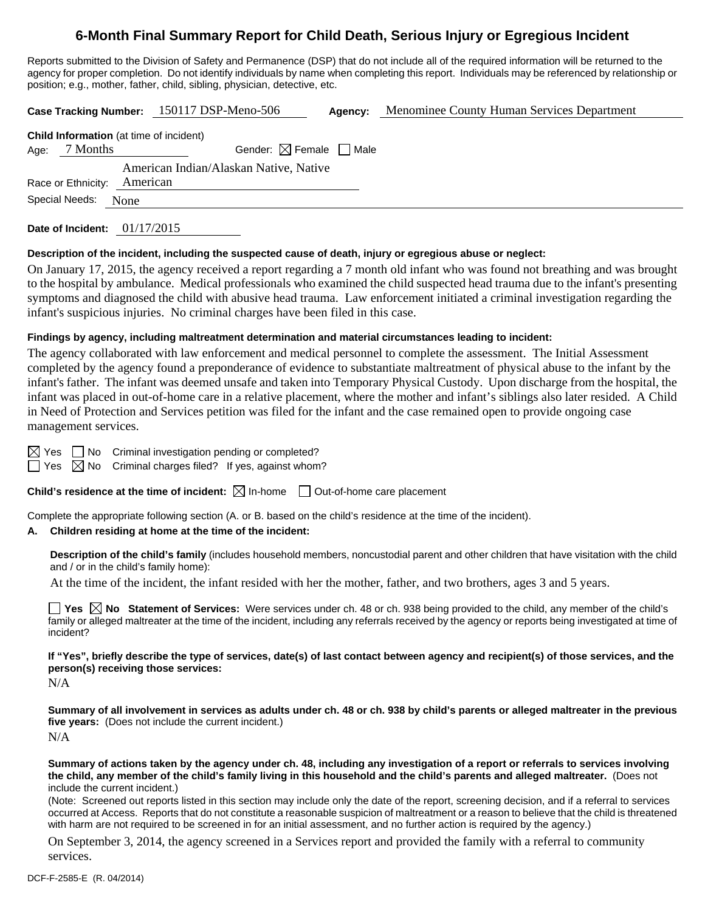# **6-Month Final Summary Report for Child Death, Serious Injury or Egregious Incident**

Reports submitted to the Division of Safety and Permanence (DSP) that do not include all of the required information will be returned to the agency for proper completion. Do not identify individuals by name when completing this report. Individuals may be referenced by relationship or position; e.g., mother, father, child, sibling, physician, detective, etc.

|                                |                                                |            | Case Tracking Number: 150117 DSP-Meno-506 | Agency: | Menominee County Human Services Department |
|--------------------------------|------------------------------------------------|------------|-------------------------------------------|---------|--------------------------------------------|
|                                | <b>Child Information</b> (at time of incident) |            |                                           |         |                                            |
| Age:                           | 7 Months                                       |            | Gender: $\boxtimes$ Female $\Box$ Male    |         |                                            |
|                                |                                                |            | American Indian/Alaskan Native, Native    |         |                                            |
| American<br>Race or Ethnicity: |                                                |            |                                           |         |                                            |
|                                | Special Needs:                                 | None       |                                           |         |                                            |
|                                | Date of Incident:                              | 01/17/2015 |                                           |         |                                            |

## **Description of the incident, including the suspected cause of death, injury or egregious abuse or neglect:**

On January 17, 2015, the agency received a report regarding a 7 month old infant who was found not breathing and was brought to the hospital by ambulance. Medical professionals who examined the child suspected head trauma due to the infant's presenting symptoms and diagnosed the child with abusive head trauma. Law enforcement initiated a criminal investigation regarding the infant's suspicious injuries. No criminal charges have been filed in this case.

#### **Findings by agency, including maltreatment determination and material circumstances leading to incident:**

The agency collaborated with law enforcement and medical personnel to complete the assessment. The Initial Assessment completed by the agency found a preponderance of evidence to substantiate maltreatment of physical abuse to the infant by the infant's father. The infant was deemed unsafe and taken into Temporary Physical Custody. Upon discharge from the hospital, the infant was placed in out-of-home care in a relative placement, where the mother and infant's siblings also later resided. A Child in Need of Protection and Services petition was filed for the infant and the case remained open to provide ongoing case management services.

 $\boxtimes$  Yes  $\Box$  No Criminal investigation pending or completed?

 $\Box$  Yes  $\boxtimes$  No Criminal charges filed? If yes, against whom?

**Child's residence at the time of incident:**  $\boxtimes$  In-home  $\Box$  Out-of-home care placement

Complete the appropriate following section (A. or B. based on the child's residence at the time of the incident).

### **A. Children residing at home at the time of the incident:**

**Description of the child's family** (includes household members, noncustodial parent and other children that have visitation with the child and / or in the child's family home):

At the time of the incident, the infant resided with her the mother, father, and two brothers, ages 3 and 5 years.

■ Yes △ No Statement of Services: Were services under ch. 48 or ch. 938 being provided to the child, any member of the child's family or alleged maltreater at the time of the incident, including any referrals received by the agency or reports being investigated at time of incident?

**If "Yes", briefly describe the type of services, date(s) of last contact between agency and recipient(s) of those services, and the person(s) receiving those services:** 

N/A

**Summary of all involvement in services as adults under ch. 48 or ch. 938 by child's parents or alleged maltreater in the previous five years:** (Does not include the current incident.) N/A

**Summary of actions taken by the agency under ch. 48, including any investigation of a report or referrals to services involving the child, any member of the child's family living in this household and the child's parents and alleged maltreater.** (Does not include the current incident.)

(Note: Screened out reports listed in this section may include only the date of the report, screening decision, and if a referral to services occurred at Access. Reports that do not constitute a reasonable suspicion of maltreatment or a reason to believe that the child is threatened with harm are not required to be screened in for an initial assessment, and no further action is required by the agency.)

On September 3, 2014, the agency screened in a Services report and provided the family with a referral to community services.